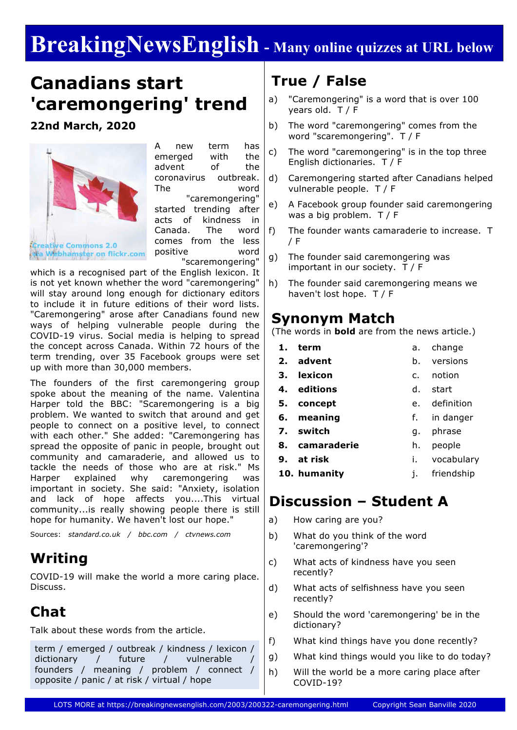# **BreakingNewsEnglish - Many online quizzes at URL below**

## **Canadians start 'caremongering' trend**

**22nd March, 2020**



A new term has emerged with the advent of the coronavirus outbreak. The word "caremongering" started trending after acts of kindness in Canada. The word comes from the less positive word "scaremongering"

which is a recognised part of the English lexicon. It is not yet known whether the word "caremongering" will stay around long enough for dictionary editors to include it in future editions of their word lists. "Caremongering" arose after Canadians found new ways of helping vulnerable people during the COVID-19 virus. Social media is helping to spread the concept across Canada. Within 72 hours of the term trending, over 35 Facebook groups were set up with more than 30,000 members.

The founders of the first caremongering group spoke about the meaning of the name. Valentina Harper told the BBC: "Scaremongering is a big problem. We wanted to switch that around and get people to connect on a positive level, to connect with each other." She added: "Caremongering has spread the opposite of panic in people, brought out community and camaraderie, and allowed us to tackle the needs of those who are at risk." Ms Harper explained why caremongering was important in society. She said: "Anxiety, isolation and lack of hope affects you....This virtual community...is really showing people there is still hope for humanity. We haven't lost our hope."

Sources: *standard.co.uk / bbc.com / ctvnews.com*

### **Writing**

COVID-19 will make the world a more caring place. Discuss.

### **Chat**

Talk about these words from the article.

term / emerged / outbreak / kindness / lexicon / dictionary / future / vulnerable founders / meaning / problem / connect / opposite / panic / at risk / virtual / hope

### **True / False**

- a) "Caremongering" is a word that is over 100 years old. T / F
- b) The word "caremongering" comes from the word "scaremongering". T / F
- c) The word "caremongering" is in the top three English dictionaries. T / F
- d) Caremongering started after Canadians helped vulnerable people. T / F
- e) A Facebook group founder said caremongering was a big problem. T / F
- f) The founder wants camaraderie to increase. T / F
- g) The founder said caremongering was important in our society. T / F
- h) The founder said caremongering means we haven't lost hope. T / F

### **Synonym Match**

(The words in **bold** are from the news article.)

- **1. term** a. change
- **2. advent** b. versions
- **3. lexicon** c. notion
- **4. editions** d. start
- **5. concept** e. definition
- **6. meaning** f. in danger
- **7. switch** g. phrase
- **8. camaraderie** h. people
- **9. at risk** i. vocabulary
- **10. humanity** j. friendship

### **Discussion – Student A**

- a) How caring are you?
- b) What do you think of the word 'caremongering'?
- c) What acts of kindness have you seen recently?
- d) What acts of selfishness have you seen recently?
- e) Should the word 'caremongering' be in the dictionary?
- f) What kind things have you done recently?
- g) What kind things would you like to do today?
- h) Will the world be a more caring place after COVID-19?